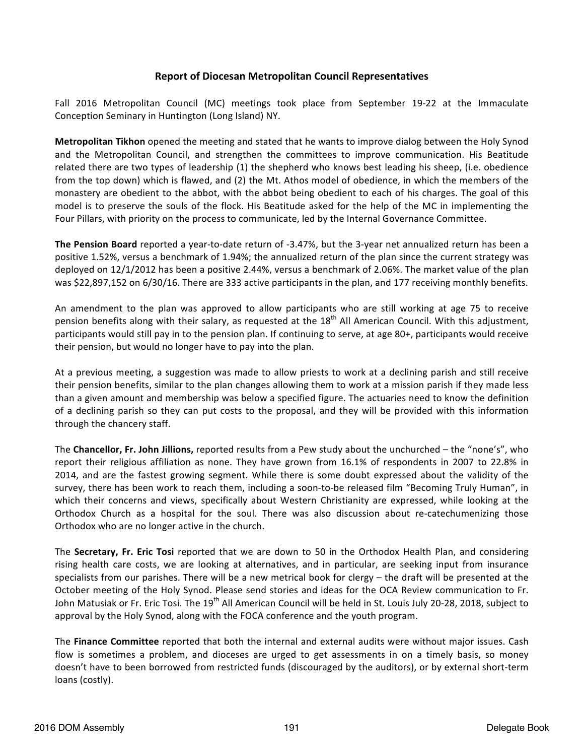## **Report of Diocesan Metropolitan Council Representatives**

Fall 2016 Metropolitan Council (MC) meetings took place from September 19-22 at the Immaculate Conception Seminary in Huntington (Long Island) NY.

**Metropolitan Tikhon** opened the meeting and stated that he wants to improve dialog between the Holy Synod and the Metropolitan Council, and strengthen the committees to improve communication. His Beatitude related there are two types of leadership (1) the shepherd who knows best leading his sheep, (i.e. obedience from the top down) which is flawed, and (2) the Mt. Athos model of obedience, in which the members of the monastery are obedient to the abbot, with the abbot being obedient to each of his charges. The goal of this model is to preserve the souls of the flock. His Beatitude asked for the help of the MC in implementing the Four Pillars, with priority on the process to communicate, led by the Internal Governance Committee.

**The Pension Board** reported a year-to-date return of -3.47%, but the 3-year net annualized return has been a positive 1.52%, versus a benchmark of 1.94%; the annualized return of the plan since the current strategy was deployed on 12/1/2012 has been a positive 2.44%, versus a benchmark of 2.06%. The market value of the plan was \$22,897,152 on 6/30/16. There are 333 active participants in the plan, and 177 receiving monthly benefits.

An amendment to the plan was approved to allow participants who are still working at age 75 to receive pension benefits along with their salary, as requested at the  $18<sup>th</sup>$  All American Council. With this adjustment, participants would still pay in to the pension plan. If continuing to serve, at age 80+, participants would receive their pension, but would no longer have to pay into the plan.

At a previous meeting, a suggestion was made to allow priests to work at a declining parish and still receive their pension benefits, similar to the plan changes allowing them to work at a mission parish if they made less than a given amount and membership was below a specified figure. The actuaries need to know the definition of a declining parish so they can put costs to the proposal, and they will be provided with this information through the chancery staff.

The **Chancellor, Fr. John Jillions,** reported results from a Pew study about the unchurched – the "none's", who report their religious affiliation as none. They have grown from 16.1% of respondents in 2007 to 22.8% in 2014, and are the fastest growing segment. While there is some doubt expressed about the validity of the survey, there has been work to reach them, including a soon-to-be released film "Becoming Truly Human", in which their concerns and views, specifically about Western Christianity are expressed, while looking at the Orthodox Church as a hospital for the soul. There was also discussion about re-catechumenizing those Orthodox who are no longer active in the church.

The **Secretary, Fr. Eric Tosi** reported that we are down to 50 in the Orthodox Health Plan, and considering rising health care costs, we are looking at alternatives, and in particular, are seeking input from insurance specialists from our parishes. There will be a new metrical book for clergy  $-$  the draft will be presented at the October meeting of the Holy Synod. Please send stories and ideas for the OCA Review communication to Fr. John Matusiak or Fr. Eric Tosi. The 19<sup>th</sup> All American Council will be held in St. Louis July 20-28, 2018, subject to approval by the Holy Synod, along with the FOCA conference and the youth program.

The **Finance Committee** reported that both the internal and external audits were without major issues. Cash flow is sometimes a problem, and dioceses are urged to get assessments in on a timely basis, so money doesn't have to been borrowed from restricted funds (discouraged by the auditors), or by external short-term loans (costly).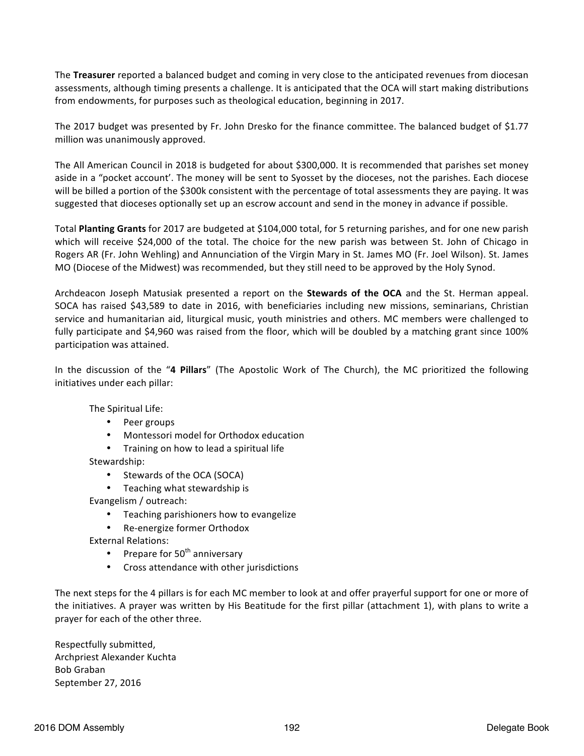The **Treasurer** reported a balanced budget and coming in very close to the anticipated revenues from diocesan assessments, although timing presents a challenge. It is anticipated that the OCA will start making distributions from endowments, for purposes such as theological education, beginning in 2017.

The 2017 budget was presented by Fr. John Dresko for the finance committee. The balanced budget of \$1.77 million was unanimously approved.

The All American Council in 2018 is budgeted for about \$300,000. It is recommended that parishes set money aside in a "pocket account'. The money will be sent to Syosset by the dioceses, not the parishes. Each diocese will be billed a portion of the \$300k consistent with the percentage of total assessments they are paying. It was suggested that dioceses optionally set up an escrow account and send in the money in advance if possible.

Total **Planting Grants** for 2017 are budgeted at \$104,000 total, for 5 returning parishes, and for one new parish which will receive \$24,000 of the total. The choice for the new parish was between St. John of Chicago in Rogers AR (Fr. John Wehling) and Annunciation of the Virgin Mary in St. James MO (Fr. Joel Wilson). St. James MO (Diocese of the Midwest) was recommended, but they still need to be approved by the Holy Synod.

Archdeacon Joseph Matusiak presented a report on the **Stewards of the OCA** and the St. Herman appeal. SOCA has raised \$43,589 to date in 2016, with beneficiaries including new missions, seminarians, Christian service and humanitarian aid, liturgical music, youth ministries and others. MC members were challenged to fully participate and \$4,960 was raised from the floor, which will be doubled by a matching grant since 100% participation was attained.

In the discussion of the "4 Pillars" (The Apostolic Work of The Church), the MC prioritized the following initiatives under each pillar:

The Spiritual Life:

- Peer groups
- Montessori model for Orthodox education
- Training on how to lead a spiritual life
- Stewardship:
	- Stewards of the OCA (SOCA)
	- Teaching what stewardship is

Evangelism / outreach:

- Teaching parishioners how to evangelize
- Re-energize former Orthodox

External Relations:

- Prepare for  $50<sup>th</sup>$  anniversary
- Cross attendance with other jurisdictions

The next steps for the 4 pillars is for each MC member to look at and offer prayerful support for one or more of the initiatives. A prayer was written by His Beatitude for the first pillar (attachment 1), with plans to write a prayer for each of the other three.

Respectfully submitted, Archpriest Alexander Kuchta Bob Graban September 27, 2016